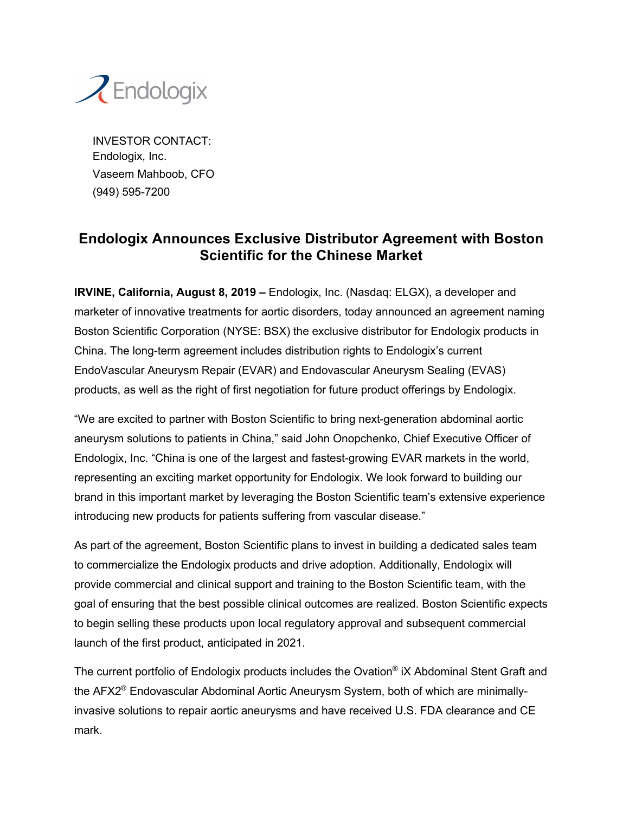

INVESTOR CONTACT: Endologix, Inc. Vaseem Mahboob, CFO (949) 595-7200

## **Endologix Announces Exclusive Distributor Agreement with Boston Scientific for the Chinese Market**

**IRVINE, California, August 8, 2019 –** Endologix, Inc. (Nasdaq: ELGX), a developer and marketer of innovative treatments for aortic disorders, today announced an agreement naming Boston Scientific Corporation (NYSE: BSX) the exclusive distributor for Endologix products in China. The long-term agreement includes distribution rights to Endologix's current EndoVascular Aneurysm Repair (EVAR) and Endovascular Aneurysm Sealing (EVAS) products, as well as the right of first negotiation for future product offerings by Endologix.

"We are excited to partner with Boston Scientific to bring next-generation abdominal aortic aneurysm solutions to patients in China," said John Onopchenko, Chief Executive Officer of Endologix, Inc. "China is one of the largest and fastest-growing EVAR markets in the world, representing an exciting market opportunity for Endologix. We look forward to building our brand in this important market by leveraging the Boston Scientific team's extensive experience introducing new products for patients suffering from vascular disease."

As part of the agreement, Boston Scientific plans to invest in building a dedicated sales team to commercialize the Endologix products and drive adoption. Additionally, Endologix will provide commercial and clinical support and training to the Boston Scientific team, with the goal of ensuring that the best possible clinical outcomes are realized. Boston Scientific expects to begin selling these products upon local regulatory approval and subsequent commercial launch of the first product, anticipated in 2021.

The current portfolio of Endologix products includes the Ovation<sup>®</sup> iX Abdominal Stent Graft and the AFX2® Endovascular Abdominal Aortic Aneurysm System, both of which are minimallyinvasive solutions to repair aortic aneurysms and have received U.S. FDA clearance and CE mark.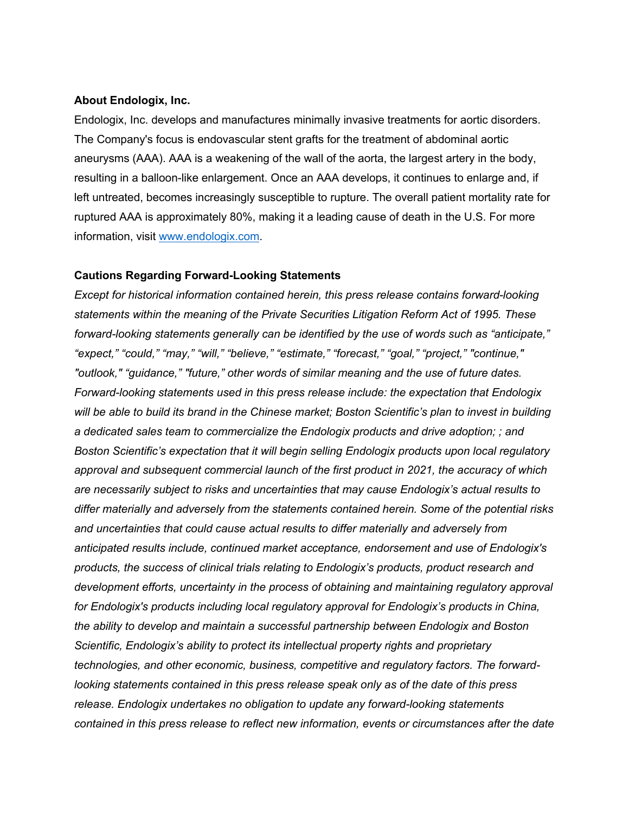## **About Endologix, Inc.**

Endologix, Inc. develops and manufactures minimally invasive treatments for aortic disorders. The Company's focus is endovascular stent grafts for the treatment of abdominal aortic aneurysms (AAA). AAA is a weakening of the wall of the aorta, the largest artery in the body, resulting in a balloon-like enlargement. Once an AAA develops, it continues to enlarge and, if left untreated, becomes increasingly susceptible to rupture. The overall patient mortality rate for ruptured AAA is approximately 80%, making it a leading cause of death in the U.S. For more information, visit www.endologix.com.

## **Cautions Regarding Forward-Looking Statements**

*Except for historical information contained herein, this press release contains forward-looking statements within the meaning of the Private Securities Litigation Reform Act of 1995. These forward-looking statements generally can be identified by the use of words such as "anticipate," "expect," "could," "may," "will," "believe," "estimate," "forecast," "goal," "project," "continue," "outlook," "guidance," "future," other words of similar meaning and the use of future dates. Forward-looking statements used in this press release include: the expectation that Endologix will be able to build its brand in the Chinese market; Boston Scientific's plan to invest in building a dedicated sales team to commercialize the Endologix products and drive adoption; ; and Boston Scientific's expectation that it will begin selling Endologix products upon local regulatory approval and subsequent commercial launch of the first product in 2021, the accuracy of which are necessarily subject to risks and uncertainties that may cause Endologix's actual results to differ materially and adversely from the statements contained herein. Some of the potential risks and uncertainties that could cause actual results to differ materially and adversely from anticipated results include, continued market acceptance, endorsement and use of Endologix's products, the success of clinical trials relating to Endologix's products, product research and development efforts, uncertainty in the process of obtaining and maintaining regulatory approval for Endologix's products including local regulatory approval for Endologix's products in China, the ability to develop and maintain a successful partnership between Endologix and Boston Scientific, Endologix's ability to protect its intellectual property rights and proprietary technologies, and other economic, business, competitive and regulatory factors. The forwardlooking statements contained in this press release speak only as of the date of this press release. Endologix undertakes no obligation to update any forward-looking statements contained in this press release to reflect new information, events or circumstances after the date*